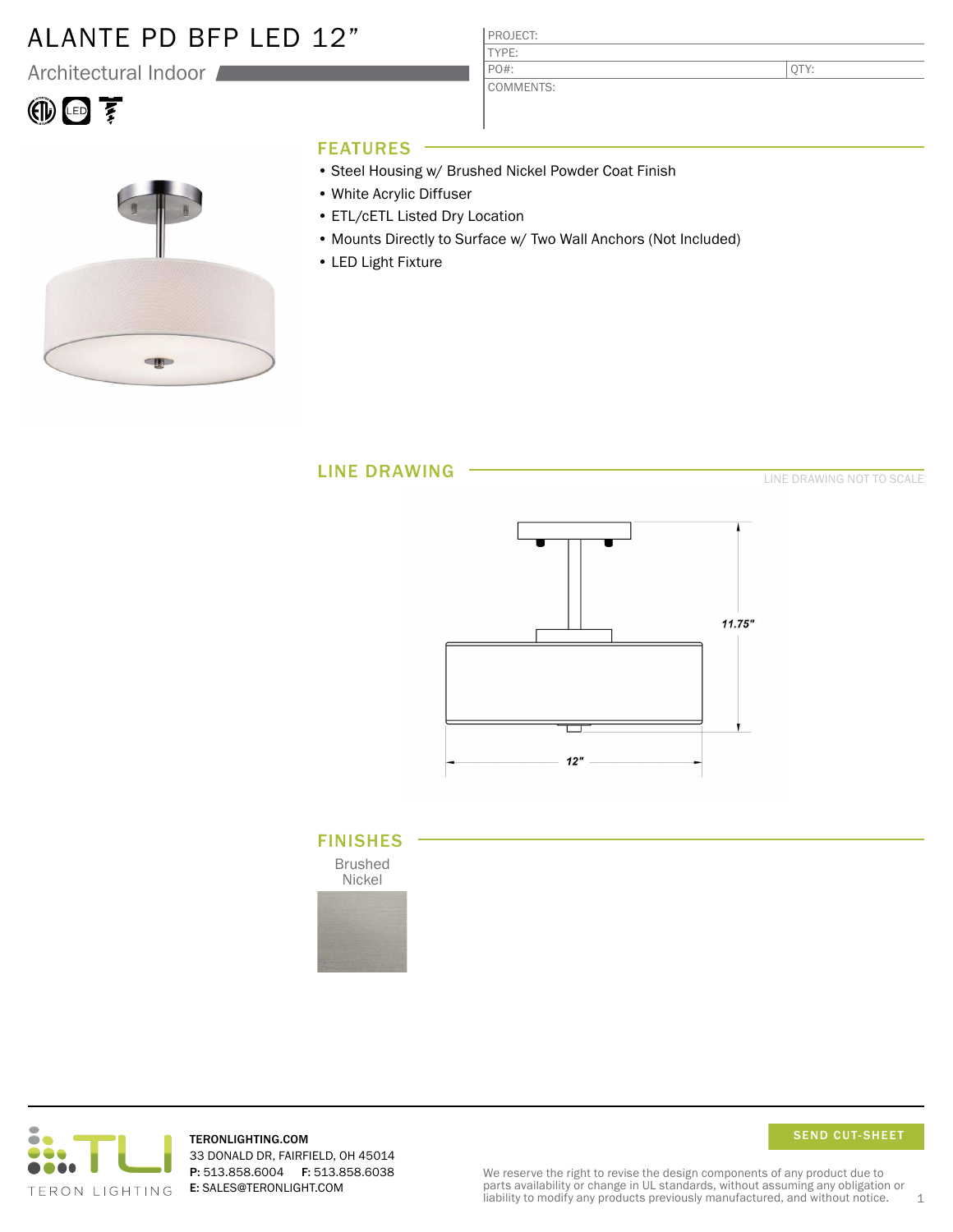### ALANTE PD BFP LED 12"

Architectural Indoor

# 10回至



### FEATURES

• Steel Housing w/ Brushed Nickel Powder Coat Finish

PROJECT: TYPE:

PO#:

COMMENTS:

- White Acrylic Diffuser
- ETL/cETL Listed Dry Location
- Mounts Directly to Surface w/ Two Wall Anchors (Not Included)
- LED Light Fixture

LINE DRAWING

LINE DRAWING NOT TO SCALE

QTY:



### FINISHES

Brushed Nickel





TERONLIGHTING.COM 33 DONALD DR, FAIRFIELD, OH 45014 P: 513.858.6004 F: 513.858.6038 E: SALES@TERONLIGHT.COM

SEND CUT-SHEET

We reserve the right to revise the design components of any product due to parts availability or change in UL standards, without assuming any obligation or liability to modify any products previously manufactured, and without notice.  $1$